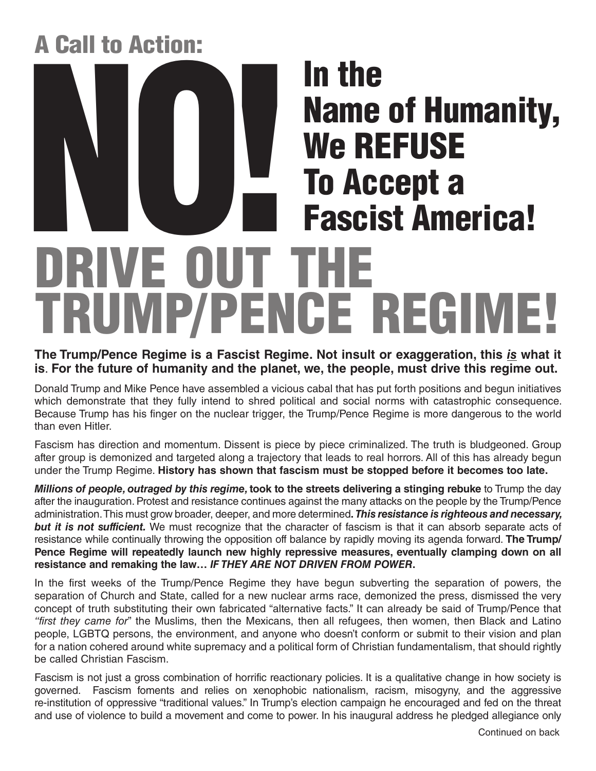## A Call to Action:

# RIVE OUT TH TRUMP/PENCE REGIME! In the Name of Humanity, We REFUSE **The Mame of Humanity<br>
We REFUSE<br>
To Accept a<br>
Tascist America!**

#### **The Trump/Pence Regime is a Fascist Regime. Not insult or exaggeration, this** *is* **what it is**. **For the future of humanity and the planet, we, the people, must drive this regime out.**

Donald Trump and Mike Pence have assembled a vicious cabal that has put forth positions and begun initiatives which demonstrate that they fully intend to shred political and social norms with catastrophic consequence. Because Trump has his finger on the nuclear trigger, the Trump/Pence Regime is more dangerous to the world than even Hitler.

Fascism has direction and momentum. Dissent is piece by piece criminalized. The truth is bludgeoned. Group after group is demonized and targeted along a trajectory that leads to real horrors. All of this has already begun under the Trump Regime. **History has shown that fascism must be stopped before it becomes too late.**

*Millions of people, outraged by this regime,* **took to the streets delivering a stinging rebuke** to Trump the day after the inauguration. Protest and resistance continues against the many attacks on the people by the Trump/Pence administration. This must grow broader, deeper, and more determined**.** *This resistance is righteous and necessary, but it is not sufficient.* We must recognize that the character of fascism is that it can absorb separate acts of resistance while continually throwing the opposition off balance by rapidly moving its agenda forward. **The Trump/ Pence Regime will repeatedly launch new highly repressive measures, eventually clamping down on all resistance and remaking the law…** *IF THEY ARE NOT DRIVEN FROM POWER***.**

In the first weeks of the Trump/Pence Regime they have begun subverting the separation of powers, the separation of Church and State, called for a new nuclear arms race, demonized the press, dismissed the very concept of truth substituting their own fabricated "alternative facts." It can already be said of Trump/Pence that *"first they came for*" the Muslims, then the Mexicans, then all refugees, then women, then Black and Latino people, LGBTQ persons, the environment, and anyone who doesn't conform or submit to their vision and plan for a nation cohered around white supremacy and a political form of Christian fundamentalism, that should rightly be called Christian Fascism.

Fascism is not just a gross combination of horrific reactionary policies. It is a qualitative change in how society is governed. Fascism foments and relies on xenophobic nationalism, racism, misogyny, and the aggressive re-institution of oppressive "traditional values." In Trump's election campaign he encouraged and fed on the threat and use of violence to build a movement and come to power. In his inaugural address he pledged allegiance only